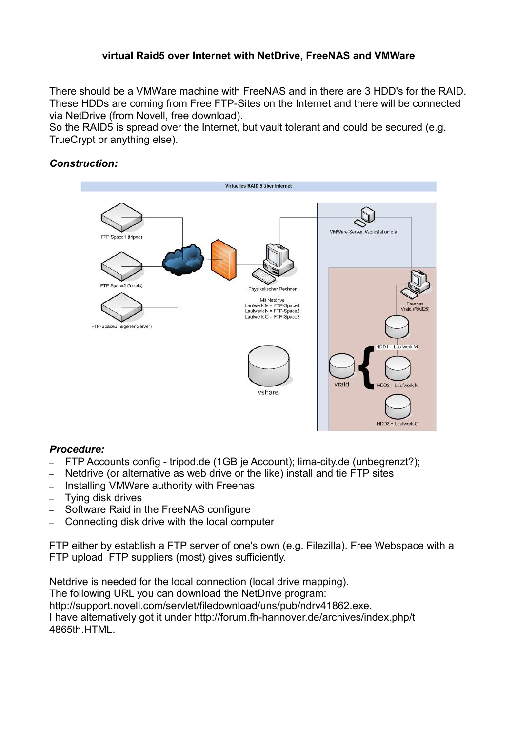# **virtual Raid5 over Internet with NetDrive, FreeNAS and VMWare**

There should be a VMWare machine with FreeNAS and in there are 3 HDD's for the RAID. These HDDs are coming from Free FTP-Sites on the Internet and there will be connected via NetDrive (from Novell, free download).

So the RAID5 is spread over the Internet, but vault tolerant and could be secured (e.g. TrueCrypt or anything else).

# *Construction:*



## *Procedure:*

- FTP Accounts config tripod.de (1GB je Account); lima-city.de (unbegrenzt?);
- Netdrive (or alternative as web drive or the like) install and tie FTP sites
- Installing VMWare authority with Freenas
- Tying disk drives
- Software Raid in the FreeNAS configure
- Connecting disk drive with the local computer

FTP either by establish a FTP server of one's own (e.g. Filezilla). Free Webspace with a FTP upload FTP suppliers (most) gives sufficiently.

Netdrive is needed for the local connection (local drive mapping). The following URL you can download the NetDrive program:

http://support.novell.com/servlet/filedownload/uns/pub/ndrv41862.exe.

I have alternatively got it under http://forum.fh-hannover.de/archives/index.php/t 4865th.HTML.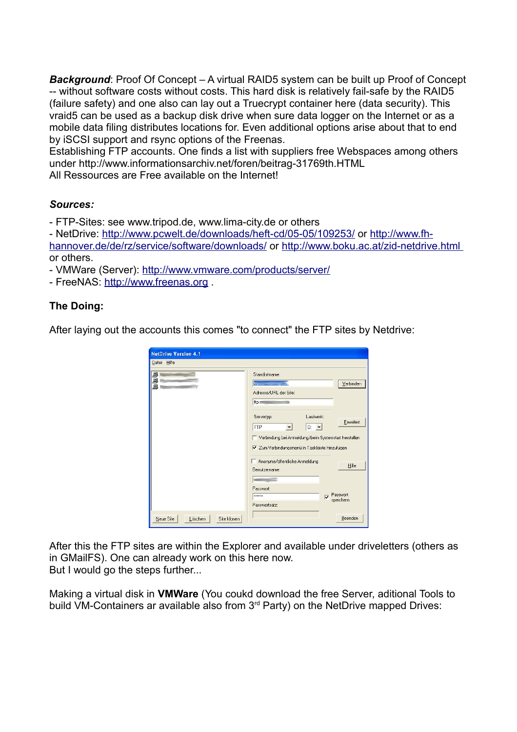*Background*: Proof Of Concept – A virtual RAID5 system can be built up Proof of Concept -- without software costs without costs. This hard disk is relatively fail-safe by the RAID5 (failure safety) and one also can lay out a Truecrypt container here (data security). This vraid5 can be used as a backup disk drive when sure data logger on the Internet or as a mobile data filing distributes locations for. Even additional options arise about that to end by iSCSI support and rsync options of the Freenas.

Establishing FTP accounts. One finds a list with suppliers free Webspaces among others under http://www.informationsarchiv.net/foren/beitrag-31769th.HTML All Ressources are Free available on the Internet!

# *Sources:*

- FTP-Sites: see www.tripod.de, www.lima-city.de or others

- NetDrive:<http://www.pcwelt.de/downloads/heft-cd/05-05/109253/>or [http://www.fh](http://www.fh-hannover.de/de/rz/service/software/downloads/)[hannover.de/de/rz/service/software/downloads/](http://www.fh-hannover.de/de/rz/service/software/downloads/) or<http://www.boku.ac.at/zid-netdrive.html> or others.

- VMWare (Server):<http://www.vmware.com/products/server/>

- FreeNAS: [http://www.freenas.org](http://www.freenas.org/) .

# **The Doing:**

After laying out the accounts this comes "to connect" the FTP sites by Netdrive:

| <b>NetDrive Version 4.1</b>         |                                                                                                                                                                                    |
|-------------------------------------|------------------------------------------------------------------------------------------------------------------------------------------------------------------------------------|
| Datei Hilfe                         |                                                                                                                                                                                    |
| bida                                | Standortname:<br>Verbinden<br>Adresse/URL der Site:<br>ftp.                                                                                                                        |
|                                     | Laufwerk:<br>Servertyp:<br>Erweitert<br>FTP<br>$0:$ $\blacktriangledown$<br>Verbindung bei Anmeldung/beim Systemstart herstellen<br>☑ Zum Verbindungsmenü in Taskleiste hinzufügen |
|                                     | Anonyme/offentliche Anmeldung<br>Hilfe<br>Benutzername:<br>Passwort:                                                                                                               |
|                                     | Passwort<br><b>xxxxxx</b><br>$\overline{v}$<br>speichern<br>Passwortsatz:                                                                                                          |
| Neue Site<br>Löschen<br>Site klonen | Beenden                                                                                                                                                                            |

After this the FTP sites are within the Explorer and available under driveletters (others as in GMailFS). One can already work on this here now. But I would go the steps further...

Making a virtual disk in **VMWare** (You coukd download the free Server, aditional Tools to build VM-Containers ar available also from 3<sup>rd</sup> Party) on the NetDrive mapped Drives: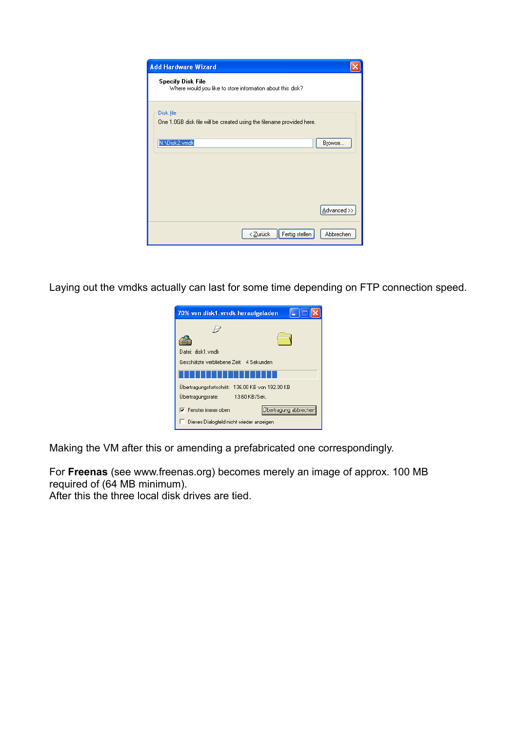| <b>Add Hardware Wizard</b>                                                             |
|----------------------------------------------------------------------------------------|
| <b>Specify Disk File</b><br>Where would you like to store information about this disk? |
| Disk file<br>One 1.0GB disk file will be created using the filename provided here.     |
| N:\Disk2.vmdk<br>Browse                                                                |
|                                                                                        |
| Advanced >>                                                                            |
|                                                                                        |
| Fertig stellen<br>< Zurück<br>Abbrechen                                                |

Laying out the vmdks actually can last for some time depending on FTP connection speed.



Making the VM after this or amending a prefabricated one correspondingly.

For **Freenas** (see www.freenas.org) becomes merely an image of approx. 100 MB required of (64 MB minimum).

After this the three local disk drives are tied.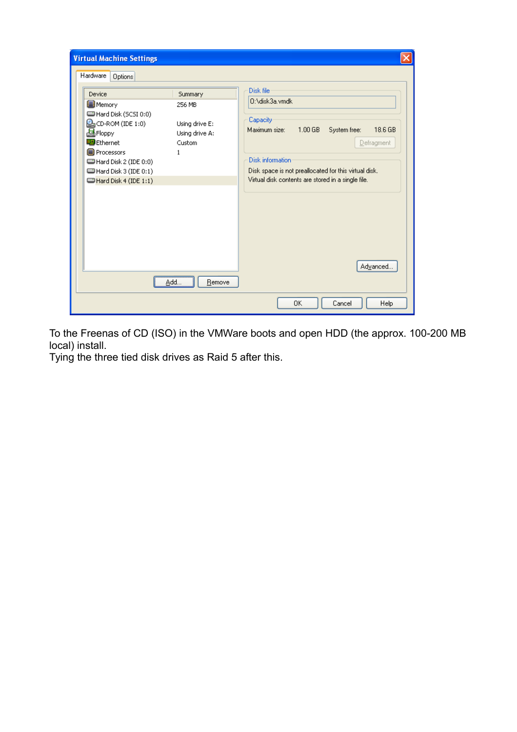| <b>Virtual Machine Settings</b>                                                                                                                                  |                                                                      |                                                                                                                                           |
|------------------------------------------------------------------------------------------------------------------------------------------------------------------|----------------------------------------------------------------------|-------------------------------------------------------------------------------------------------------------------------------------------|
| Hardware<br>Options                                                                                                                                              |                                                                      |                                                                                                                                           |
| Device<br>Memory<br>Hard Disk (SCSI 0:0)<br>$\bigcirc$ <sub>C</sub> D-ROM (IDE 1:0)<br>凸Floppy<br>Ethernet<br>Processors<br>$\blacksquare$ Hard Disk 2 (IDE 0:0) | Summary<br>256 MB<br>Using drive E:<br>Using drive A:<br>Custom<br>1 | Disk file<br>D:\disk3a.vmdk<br>Capacity<br>18.6 GB<br>Maximum size:<br>$1.00$ GB<br>System free:<br>Defragment<br><b>Disk information</b> |
| Hard Disk 3 (IDE 0:1)<br>$\Box$ Hard Disk 4 (IDE 1:1)                                                                                                            | Add<br>Remove                                                        | Disk space is not preallocated for this virtual disk.<br>Virtual disk contents are stored in a single file.<br>Advanced                   |
|                                                                                                                                                                  |                                                                      | Cancel<br>OK<br>Help                                                                                                                      |

To the Freenas of CD (ISO) in the VMWare boots and open HDD (the approx. 100-200 MB local) install.

Tying the three tied disk drives as Raid 5 after this.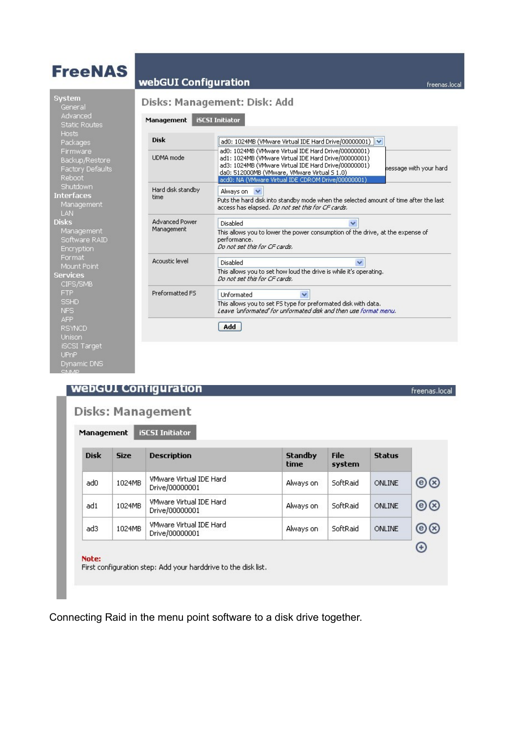# **FreeNAS**

System<br>General<br>Advanced<br>Static Routes

Reboot<br>Shutdown<br>Interfaces<br>Management<br>LAN<br>Disks

**Disks** 

Services

Unison<br>ISCSI Target<br>UPnP<br>Dynamic DNS

# webGUI Configuration

#### Disks: Management: Disk: Add

| Packages                                                        | <b>Disk</b>           | ad0: 1024MB (VMware Virtual IDE Hard Drive/00000001) V                                                                                                                                                                                                                                               |  |  |  |  |
|-----------------------------------------------------------------|-----------------------|------------------------------------------------------------------------------------------------------------------------------------------------------------------------------------------------------------------------------------------------------------------------------------------------------|--|--|--|--|
| Firmware<br>Backup/Restore<br><b>Factory Defaults</b><br>Reboot | UDMA mode             | ad0: 1024MB (VMware Virtual IDE Hard Drive/00000001)<br>ad1: 1024MB (VMware Virtual IDE Hard Drive/00000001)<br>ad3: 1024MB (VMware Virtual IDE Hard Drive/00000001)<br>hessage with your hard<br>da0: 512000MB (VMware, VMware Virtual S 1.0)<br>acd0: NA (VMware Virtual IDE CDROM Drive/00000001) |  |  |  |  |
| <b>Shutdown</b>                                                 | Hard disk standby     | Always on<br>$\checkmark$                                                                                                                                                                                                                                                                            |  |  |  |  |
| interfaces<br>Management<br>LAN                                 | time                  | Puts the hard disk into standby mode when the selected amount of time after the last<br>access has elapsed. Do not set this for CF cards.                                                                                                                                                            |  |  |  |  |
| Disks                                                           | <b>Advanced Power</b> | Disabled                                                                                                                                                                                                                                                                                             |  |  |  |  |
| Management<br>Software RAID<br>Encryption                       | Management            | This allows you to lower the power consumption of the drive, at the expense of<br>performance.<br>Do not set this for CF cards.                                                                                                                                                                      |  |  |  |  |
| Format                                                          | Acoustic level        | Disabled<br>×                                                                                                                                                                                                                                                                                        |  |  |  |  |
| Mount Point<br><b>Services</b><br>CIFS/SMB                      |                       | This allows you to set how loud the drive is while it's operating.<br>Do not set this for CF cards.                                                                                                                                                                                                  |  |  |  |  |
| <b>FTP</b>                                                      | Preformatted FS       | Unformated                                                                                                                                                                                                                                                                                           |  |  |  |  |
| <b>SSHD</b><br>NFS.                                             |                       | This allows you to set FS type for preformated disk with data.<br>Leave 'unformated' for unformated disk and then use format menu.                                                                                                                                                                   |  |  |  |  |
| <b>AFP</b>                                                      |                       |                                                                                                                                                                                                                                                                                                      |  |  |  |  |
| <b>RSYNCD</b><br>Unison                                         |                       | Add                                                                                                                                                                                                                                                                                                  |  |  |  |  |
| <b>ISCSI Target</b>                                             |                       |                                                                                                                                                                                                                                                                                                      |  |  |  |  |
| <b>STORY OF</b>                                                 |                       |                                                                                                                                                                                                                                                                                                      |  |  |  |  |

### **WebGUI Configuration**

# **Disks: Management**

Management iSCSI Initiator

| <b>Disk</b> | <b>Size</b> | <b>Description</b>                        | <b>Standby</b><br><b>time</b> | File<br>system | <b>Status</b> |                |
|-------------|-------------|-------------------------------------------|-------------------------------|----------------|---------------|----------------|
| ad0         | 1024MB      | VMware Virtual IDE Hard<br>Drive/00000001 | Always on                     | SoftRaid       | ONLINE        | @@             |
| ad1         | 1024MB      | VMware Virtual IDE Hard<br>Drive/00000001 | Always on                     | SoftRaid       | <b>ONLINE</b> | @@             |
| ad3         | 1024MB      | VMware Virtual IDE Hard<br>Drive/00000001 | Always on                     | SoftRaid       | <b>ONLINE</b> | $\circledcirc$ |
| Note:       |             |                                           |                               |                |               | $_{\oplus}$    |

First configuration step: Add your harddrive to the disk list.

Connecting Raid in the menu point software to a disk drive together.

#### freenas.local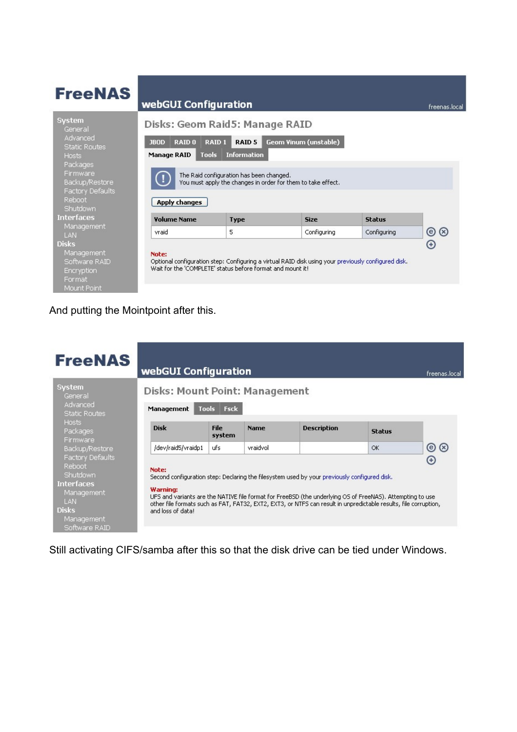# **FreeNAS**

#### webGUI Configuration freenas.local System Disks: Geom Raid5: Manage RAID ystem<br>General<br>Advanced<br>Static Routes<br>Hosts JBOD RAID 0 RAID 1 RAID 5 Geom Vinum (unstable) Hosts<br>
Hosts<br>
Packages<br>
Firmware<br>
Backup/Restore<br>
Factory Defaults<br>
Reboot<br>
Shutdown<br>
Interfaces<br>
Management Manage RAID | Tools | Information The Raid configuration has been changed. T You must apply the changes in order for them to take effect. **Apply changes Volume Name** Type **Size Status** Management<br>LAN<br>Disks<br>Management<br>Software RAID  $@@$ vraid 5 Configuring Configuring  $\odot$ Note: Optional configuration step: Configuring a virtual RAID disk using your previously configured disk. Wait for the 'COMPLETE' status before format and mount it! Encryption Format<br>Mount Point

# And putting the Mointpoint after this.

| <b>FreeNAS</b>                                                                                                                                                                                                                                                    | webGUI Configuration                                                               |                       |             |                                                                                                                                                                                                                                                                                                                               |               | freenas.local              |
|-------------------------------------------------------------------------------------------------------------------------------------------------------------------------------------------------------------------------------------------------------------------|------------------------------------------------------------------------------------|-----------------------|-------------|-------------------------------------------------------------------------------------------------------------------------------------------------------------------------------------------------------------------------------------------------------------------------------------------------------------------------------|---------------|----------------------------|
| System<br>General<br>Advanced<br><b>Static Routes</b><br><b>Hosts</b><br>Packages<br>Firmware<br>Backup/Restore<br><b>Factory Defaults</b><br>Reboot<br>Shutdown:<br><b>Interfaces</b><br>Management<br><b>LAN</b><br><b>Disks</b><br>Management<br>Software RAID | <b>Disks: Mount Point: Management</b><br><b>Tools</b><br><b>Fsck</b><br>Management |                       |             |                                                                                                                                                                                                                                                                                                                               |               |                            |
|                                                                                                                                                                                                                                                                   | <b>Disk</b>                                                                        | <b>File</b><br>system | <b>Name</b> | <b>Description</b>                                                                                                                                                                                                                                                                                                            | <b>Status</b> |                            |
|                                                                                                                                                                                                                                                                   | /dev/raid5/vraidp1<br>Note:<br><b>Warning:</b><br>and loss of data!                | ufs.                  | vraidvol    | Second configuration step: Declaring the filesystem used by your previously configured disk.<br>UFS and variants are the NATIVE file format for FreeBSD (the underlying OS of FreeNAS). Attempting to use<br>other file formats such as FAT, FAT32, EXT2, EXT3, or NTFS can result in unpredictable results, file corruption, | OK            | $\circledcirc$<br>$_{(+)}$ |

Still activating CIFS/samba after this so that the disk drive can be tied under Windows.